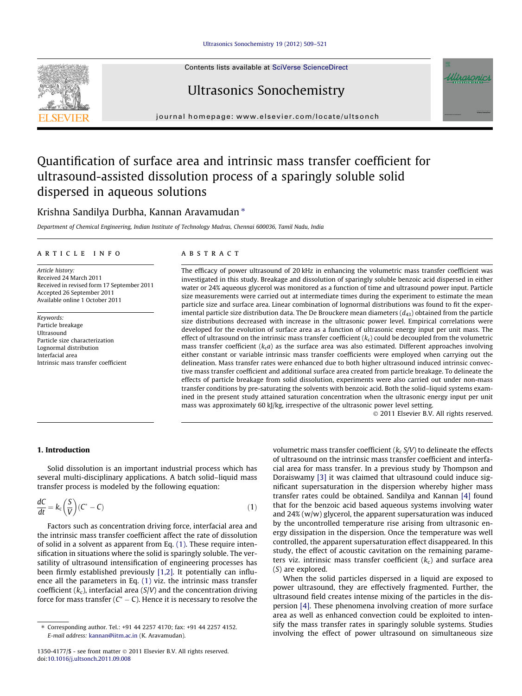## Ultrasonics Sonochemistry 19 (2012) 509–521

Contents lists available at SciVerse ScienceDirect

# Ultrasonics Sonochemistry

journal homepage: www.elsevier.com/locate/ultsonch

# Quantification of surface area and intrinsic mass transfer coefficient for ultrasound-assisted dissolution process of a sparingly soluble solid dispersed in aqueous solutions

## Krishna Sandilya Durbha, Kannan Aravamudan  $*$

Department of Chemical Engineering, Indian Institute of Technology Madras, Chennai 600036, Tamil Nadu, India

## article info

Article history: Received 24 March 2011 Received in revised form 17 September 2011 Accepted 26 September 2011 Available online 1 October 2011

Keywords: Particle breakage Ultrasound Particle size characterization Lognormal distribution Interfacial area Intrinsic mass transfer coefficient

## **ABSTRACT**

The efficacy of power ultrasound of 20 kHz in enhancing the volumetric mass transfer coefficient was investigated in this study. Breakage and dissolution of sparingly soluble benzoic acid dispersed in either water or 24% aqueous glycerol was monitored as a function of time and ultrasound power input. Particle size measurements were carried out at intermediate times during the experiment to estimate the mean particle size and surface area. Linear combination of lognormal distributions was found to fit the experimental particle size distribution data. The De Brouckere mean diameters  $(d_{43})$  obtained from the particle size distributions decreased with increase in the ultrasonic power level. Empirical correlations were developed for the evolution of surface area as a function of ultrasonic energy input per unit mass. The effect of ultrasound on the intrinsic mass transfer coefficient  $(k<sub>c</sub>)$  could be decoupled from the volumetric mass transfer coefficient ( $k<sub>c</sub>a$ ) as the surface area was also estimated. Different approaches involving either constant or variable intrinsic mass transfer coefficients were employed when carrying out the delineation. Mass transfer rates were enhanced due to both higher ultrasound induced intrinsic convective mass transfer coefficient and additional surface area created from particle breakage. To delineate the effects of particle breakage from solid dissolution, experiments were also carried out under non-mass transfer conditions by pre-saturating the solvents with benzoic acid. Both the solid–liquid systems examined in the present study attained saturation concentration when the ultrasonic energy input per unit mass was approximately 60 kJ/kg, irrespective of the ultrasonic power level setting.

 $@$  2011 Elsevier B.V. All rights reserved.

## 1. Introduction

Solid dissolution is an important industrial process which has several multi-disciplinary applications. A batch solid–liquid mass transfer process is modeled by the following equation:

$$
\frac{dC}{dt} = k_c \left(\frac{S}{V}\right) (C^* - C) \tag{1}
$$

Factors such as concentration driving force, interfacial area and the intrinsic mass transfer coefficient affect the rate of dissolution of solid in a solvent as apparent from Eq. (1). These require intensification in situations where the solid is sparingly soluble. The versatility of ultrasound intensification of engineering processes has been firmly established previously [1,2]. It potentially can influence all the parameters in Eq. (1) viz. the intrinsic mass transfer coefficient  $(k_c)$ , interfacial area  $(S/V)$  and the concentration driving force for mass transfer  $(C^* - C)$ . Hence it is necessary to resolve the

volumetric mass transfer coefficient  $(k_c S/V)$  to delineate the effects of ultrasound on the intrinsic mass transfer coefficient and interfacial area for mass transfer. In a previous study by Thompson and Doraiswamy [3] it was claimed that ultrasound could induce significant supersaturation in the dispersion whereby higher mass transfer rates could be obtained. Sandilya and Kannan [4] found that for the benzoic acid based aqueous systems involving water and 24% (w/w) glycerol, the apparent supersaturation was induced by the uncontrolled temperature rise arising from ultrasonic energy dissipation in the dispersion. Once the temperature was well controlled, the apparent supersaturation effect disappeared. In this study, the effect of acoustic cavitation on the remaining parameters viz. intrinsic mass transfer coefficient  $(k_c)$  and surface area (S) are explored.

When the solid particles dispersed in a liquid are exposed to power ultrasound, they are effectively fragmented. Further, the ultrasound field creates intense mixing of the particles in the dispersion [4]. These phenomena involving creation of more surface area as well as enhanced convection could be exploited to intensify the mass transfer rates in sparingly soluble systems. Studies involving the effect of power ultrasound on simultaneous size





<sup>⇑</sup> Corresponding author. Tel.: +91 44 2257 4170; fax: +91 44 2257 4152. E-mail address: kannan@iitm.ac.in (K. Aravamudan).

<sup>1350-4177/\$ -</sup> see front matter @ 2011 Elsevier B.V. All rights reserved. doi:10.1016/j.ultsonch.2011.09.008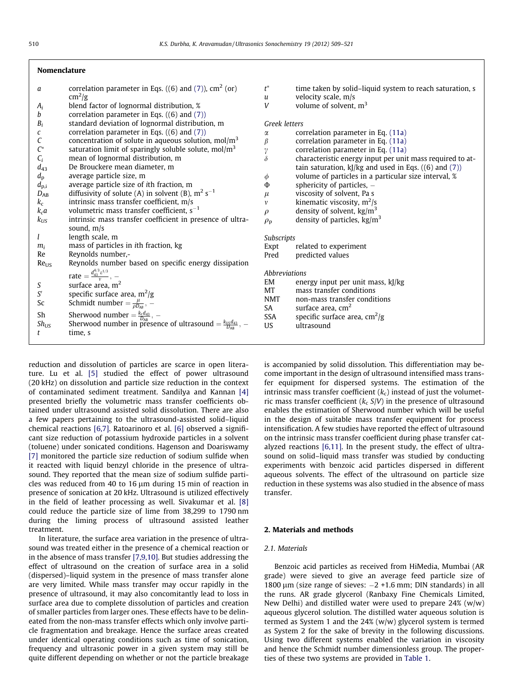## Nomenclature

| а                                   | correlation parameter in Eqs. ((6) and (7)), $cm2$ (or)                           |
|-------------------------------------|-----------------------------------------------------------------------------------|
|                                     | $\text{cm}^2/\text{g}$                                                            |
| $A_i$                               | blend factor of lognormal distribution, %                                         |
| b                                   | correlation parameter in Eqs. $((6)$ and $(7)$ )                                  |
| $\boldsymbol{B}_i$                  | standard deviation of lognormal distribution, m                                   |
| c<br>C                              | correlation parameter in Eqs. $((6)$ and $(7)$ )                                  |
|                                     | concentration of solute in aqueous solution, $mol/m3$                             |
| $\overset{\rightharpoonup }{C_{i}}$ | saturation limit of sparingly soluble solute, mol/m <sup>3</sup>                  |
|                                     | mean of lognormal distribution, m                                                 |
| $d_{43}$                            | De Brouckere mean diameter, m                                                     |
| $d_{\rm p}$                         | average particle size, m                                                          |
| $d_{\rm p,i}$                       | average particle size of ith fraction, m                                          |
| $D_{AB}$                            | diffusivity of solute (A) in solvent (B), $m^2 s^{-1}$                            |
| $k_{\rm c}$                         | intrinsic mass transfer coefficient, m/s                                          |
| $k_c a$                             | volumetric mass transfer coefficient, $s^{-1}$                                    |
| $k_{\text{US}}$                     | intrinsic mass transfer coefficient in presence of ultra-                         |
|                                     | sound, $m/s$                                                                      |
| l                                   | length scale, m                                                                   |
| $m_i$                               | mass of particles in <i>i</i> th fraction, kg                                     |
| Re                                  | Reynolds number,-                                                                 |
| Re <sub>115</sub>                   | Reynolds number based on specific energy dissipation                              |
|                                     | rate $=\frac{d_{43}^{4/3}\varepsilon^{1/3}}{v}$ , -                               |
| S                                   | surface area, m <sup>2</sup>                                                      |
| S'                                  | specific surface area, $m^2/g$                                                    |
| Sc                                  | Schmidt number $=\frac{\mu}{\rho D_{AB}}$ , $-$                                   |
|                                     |                                                                                   |
| Sh                                  | Sherwood number = $\frac{k_{c}d_{43}}{D_{AB}}$ , -                                |
| $Sh_{US}$                           | Sherwood number in presence of ultrasound $=$ $\frac{k_{US}d_{43}}{D_{AB}}$ , $-$ |
| t                                   | time, s                                                                           |
|                                     |                                                                                   |

reduction and dissolution of particles are scarce in open literature. Lu et al. [5] studied the effect of power ultrasound (20 kHz) on dissolution and particle size reduction in the context of contaminated sediment treatment. Sandilya and Kannan [4] presented briefly the volumetric mass transfer coefficients obtained under ultrasound assisted solid dissolution. There are also a few papers pertaining to the ultrasound-assisted solid–liquid chemical reactions [6,7]. Ratoarinoro et al. [6] observed a significant size reduction of potassium hydroxide particles in a solvent (toluene) under sonicated conditions. Hagenson and Doariswamy [7] monitored the particle size reduction of sodium sulfide when it reacted with liquid benzyl chloride in the presence of ultrasound. They reported that the mean size of sodium sulfide particles was reduced from 40 to 16  $\mu$ m during 15 min of reaction in presence of sonication at 20 kHz. Ultrasound is utilized effectively in the field of leather processing as well. Sivakumar et al. [8] could reduce the particle size of lime from 38,299 to 1790 nm during the liming process of ultrasound assisted leather treatment.

In literature, the surface area variation in the presence of ultrasound was treated either in the presence of a chemical reaction or in the absence of mass transfer [7,9,10]. But studies addressing the effect of ultrasound on the creation of surface area in a solid (dispersed)–liquid system in the presence of mass transfer alone are very limited. While mass transfer may occur rapidly in the presence of ultrasound, it may also concomitantly lead to loss in surface area due to complete dissolution of particles and creation of smaller particles from larger ones. These effects have to be delineated from the non-mass transfer effects which only involve particle fragmentation and breakage. Hence the surface areas created under identical operating conditions such as time of sonication, frequency and ultrasonic power in a given system may still be quite different depending on whether or not the particle breakage

| $t^*$                | time taken by solid-liquid system to reach saturation, s    |
|----------------------|-------------------------------------------------------------|
| u                    | velocity scale, m/s                                         |
| V                    | volume of solvent, m <sup>3</sup>                           |
|                      |                                                             |
| <b>Greek letters</b> |                                                             |
| $\alpha$             | correlation parameter in Eq. (11a)                          |
| $\beta$              | correlation parameter in Eq. (11a)                          |
| γ                    | correlation parameter in Eq. (11a)                          |
| $\delta$             | characteristic energy input per unit mass required to at-   |
|                      | tain saturation, $k$ ]/ $kg$ and used in Eqs. ((6) and (7)) |
| φ                    | volume of particles in a particular size interval, %        |
| Φ                    | sphericity of particles, $-$                                |
| $\mu$                | viscosity of solvent, Pa s                                  |
| $\mathcal V$         | kinematic viscosity, $m^2/s$                                |
| $\rho$               | density of solvent, $\text{kg/m}^3$                         |
| $\rho_{\rm p}$       | density of particles, $\text{kg/m}^3$                       |
| Subscripts           |                                                             |
| Expt                 | related to experiment                                       |
| Pred                 | predicted values                                            |
|                      |                                                             |
| <b>Abbreviations</b> |                                                             |
| EM                   | energy input per unit mass, kJ/kg                           |
| MT                   | mass transfer conditions                                    |
| <b>NMT</b>           | non-mass transfer conditions                                |
| SA                   | surface area, cm <sup>2</sup>                               |
| SSA                  | specific surface area, $\text{cm}^2/\text{g}$               |
| US                   | ultrasound                                                  |
|                      |                                                             |

is accompanied by solid dissolution. This differentiation may become important in the design of ultrasound intensified mass transfer equipment for dispersed systems. The estimation of the intrinsic mass transfer coefficient  $(k<sub>c</sub>)$  instead of just the volumetric mass transfer coefficient  $(k_c S/V)$  in the presence of ultrasound enables the estimation of Sherwood number which will be useful in the design of suitable mass transfer equipment for process intensification. A few studies have reported the effect of ultrasound on the intrinsic mass transfer coefficient during phase transfer catalyzed reactions [6,11]. In the present study, the effect of ultrasound on solid–liquid mass transfer was studied by conducting experiments with benzoic acid particles dispersed in different aqueous solvents. The effect of the ultrasound on particle size reduction in these systems was also studied in the absence of mass transfer.

## 2. Materials and methods

## 2.1. Materials

Benzoic acid particles as received from HiMedia, Mumbai (AR grade) were sieved to give an average feed particle size of 1800  $\mu$ m (size range of sieves:  $-2 + 1.6$  mm; DIN standards) in all the runs. AR grade glycerol (Ranbaxy Fine Chemicals Limited, New Delhi) and distilled water were used to prepare  $24\%$  (w/w) aqueous glycerol solution. The distilled water aqueous solution is termed as System 1 and the 24% (w/w) glycerol system is termed as System 2 for the sake of brevity in the following discussions. Using two different systems enabled the variation in viscosity and hence the Schmidt number dimensionless group. The properties of these two systems are provided in Table 1.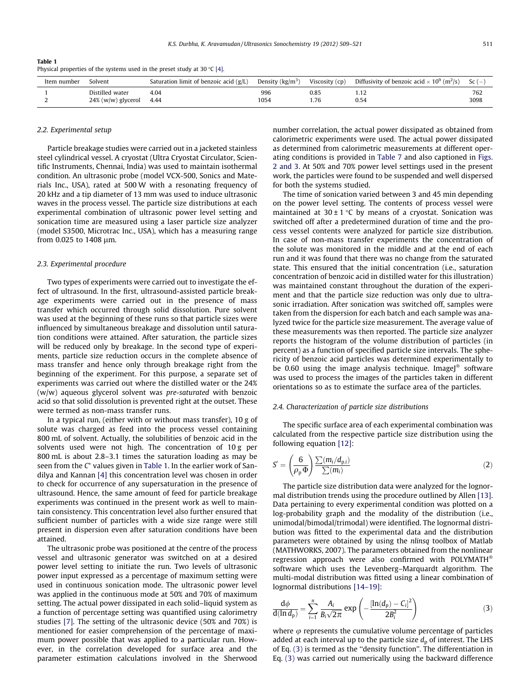Table 1 Physical properties of the systems used in the preset study at 30 °C [4].

| Item number | Solvent               | Saturation limit of benzoic acid $(g/L)$ | Density $(kg/m3)$ | Viscosity (cp) | Diffusivity of benzoic acid $\times$ 10 <sup>9</sup> (m <sup>2</sup> /s) | Sc $(-$ |
|-------------|-----------------------|------------------------------------------|-------------------|----------------|--------------------------------------------------------------------------|---------|
|             | Distilled water       | 4.04                                     | 996               | 0.85           | .                                                                        | 762     |
|             | $24\%$ (w/w) glycerol | 4.44                                     | 1054              | . 76           | 0.54                                                                     | 3098    |

## 2.2. Experimental setup

Particle breakage studies were carried out in a jacketed stainless steel cylindrical vessel. A cryostat (Ultra Cryostat Circulator, Scientific Instruments, Chennai, India) was used to maintain isothermal condition. An ultrasonic probe (model VCX-500, Sonics and Materials Inc., USA), rated at 500 W with a resonating frequency of 20 kHz and a tip diameter of 13 mm was used to induce ultrasonic waves in the process vessel. The particle size distributions at each experimental combination of ultrasonic power level setting and sonication time are measured using a laser particle size analyzer (model S3500, Microtrac Inc., USA), which has a measuring range from 0.025 to 1408 µm.

## 2.3. Experimental procedure

Two types of experiments were carried out to investigate the effect of ultrasound. In the first, ultrasound-assisted particle breakage experiments were carried out in the presence of mass transfer which occurred through solid dissolution. Pure solvent was used at the beginning of these runs so that particle sizes were influenced by simultaneous breakage and dissolution until saturation conditions were attained. After saturation, the particle sizes will be reduced only by breakage. In the second type of experiments, particle size reduction occurs in the complete absence of mass transfer and hence only through breakage right from the beginning of the experiment. For this purpose, a separate set of experiments was carried out where the distilled water or the 24% (w/w) aqueous glycerol solvent was pre-saturated with benzoic acid so that solid dissolution is prevented right at the outset. These were termed as non-mass transfer runs.

In a typical run, (either with or without mass transfer), 10 g of solute was charged as feed into the process vessel containing 800 mL of solvent. Actually, the solubilities of benzoic acid in the solvents used were not high. The concentration of 10 g per 800 mL is about 2.8–3.1 times the saturation loading as may be seen from the C ⁄ values given in Table 1. In the earlier work of Sandilya and Kannan [4] this concentration level was chosen in order to check for occurrence of any supersaturation in the presence of ultrasound. Hence, the same amount of feed for particle breakage experiments was continued in the present work as well to maintain consistency. This concentration level also further ensured that sufficient number of particles with a wide size range were still present in dispersion even after saturation conditions have been attained.

The ultrasonic probe was positioned at the centre of the process vessel and ultrasonic generator was switched on at a desired power level setting to initiate the run. Two levels of ultrasonic power input expressed as a percentage of maximum setting were used in continuous sonication mode. The ultrasonic power level was applied in the continuous mode at 50% and 70% of maximum setting. The actual power dissipated in each solid–liquid system as a function of percentage setting was quantified using calorimetry studies [7]. The setting of the ultrasonic device (50% and 70%) is mentioned for easier comprehension of the percentage of maximum power possible that was applied to a particular run. However, in the correlation developed for surface area and the parameter estimation calculations involved in the Sherwood number correlation, the actual power dissipated as obtained from calorimetric experiments were used. The actual power dissipated as determined from calorimetric measurements at different operating conditions is provided in Table 7 and also captioned in Figs. 2 and 3. At 50% and 70% power level settings used in the present work, the particles were found to be suspended and well dispersed for both the systems studied.

The time of sonication varied between 3 and 45 min depending on the power level setting. The contents of process vessel were maintained at  $30 \pm 1$  °C by means of a cryostat. Sonication was switched off after a predetermined duration of time and the process vessel contents were analyzed for particle size distribution. In case of non-mass transfer experiments the concentration of the solute was monitored in the middle and at the end of each run and it was found that there was no change from the saturated state. This ensured that the initial concentration (i.e., saturation concentration of benzoic acid in distilled water for this illustration) was maintained constant throughout the duration of the experiment and that the particle size reduction was only due to ultrasonic irradiation. After sonication was switched off, samples were taken from the dispersion for each batch and each sample was analyzed twice for the particle size measurement. The average value of these measurements was then reported. The particle size analyzer reports the histogram of the volume distribution of particles (in percent) as a function of specified particle size intervals. The sphericity of benzoic acid particles was determined experimentally to be 0.60 using the image analysis technique. ImageJ<sup>®</sup> software was used to process the images of the particles taken in different orientations so as to estimate the surface area of the particles.

#### 2.4. Characterization of particle size distributions

The specific surface area of each experimental combination was calculated from the respective particle size distribution using the following equation [12]:

$$
S' = \left(\frac{6}{\rho_p \Phi}\right) \frac{\sum (m_i/d_{p,i})}{\sum (m_i)}\tag{2}
$$

The particle size distribution data were analyzed for the lognormal distribution trends using the procedure outlined by Allen [13]. Data pertaining to every experimental condition was plotted on a log-probability graph and the modality of the distribution (i.e., unimodal/bimodal/trimodal) were identified. The lognormal distribution was fitted to the experimental data and the distribution parameters were obtained by using the nlinsq toolbox of Matlab (MATHWORKS, 2007). The parameters obtained from the nonlinear regression approach were also confirmed with POLYMATH software which uses the Levenberg–Marquardt algorithm. The multi-modal distribution was fitted using a linear combination of lognormal distributions [14–19]:

$$
\frac{d\phi}{d(\ln d_p)} = \sum_{i=1}^{n} \frac{A_i}{B_i \sqrt{2\pi}} \exp\left(-\frac{[\ln(d_p) - C_i]^2}{2B_i^2}\right)
$$
(3)

where  $\varphi$  represents the cumulative volume percentage of particles added at each interval up to the particle size  $d_p$  of interest. The LHS of Eq. (3) is termed as the ''density function''. The differentiation in Eq. (3) was carried out numerically using the backward difference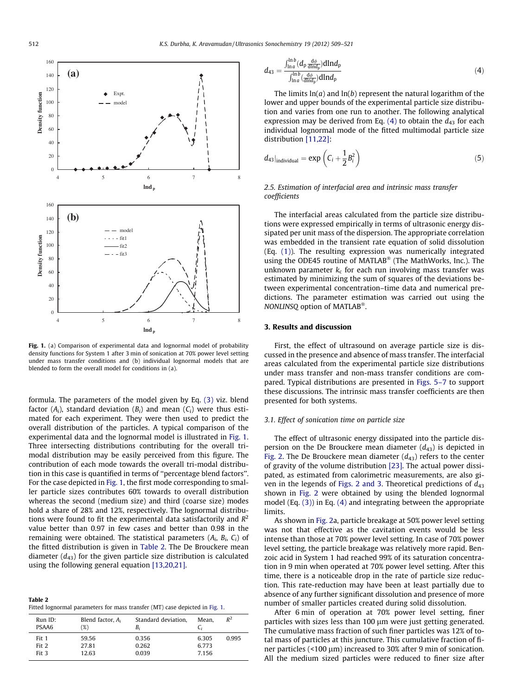

Fig. 1. (a) Comparison of experimental data and lognormal model of probability density functions for System 1 after 3 min of sonication at 70% power level setting under mass transfer conditions and (b) individual lognormal models that are blended to form the overall model for conditions in (a).

formula. The parameters of the model given by Eq. (3) viz. blend factor  $(A_i)$ , standard deviation  $(B_i)$  and mean  $(C_i)$  were thus estimated for each experiment. They were then used to predict the overall distribution of the particles. A typical comparison of the experimental data and the lognormal model is illustrated in Fig. 1. Three intersecting distributions contributing for the overall trimodal distribution may be easily perceived from this figure. The contribution of each mode towards the overall tri-modal distribution in this case is quantified in terms of ''percentage blend factors''. For the case depicted in Fig. 1, the first mode corresponding to smaller particle sizes contributes 60% towards to overall distribution whereas the second (medium size) and third (coarse size) modes hold a share of 28% and 12%, respectively. The lognormal distributions were found to fit the experimental data satisfactorily and  $R^2$ value better than 0.97 in few cases and better than 0.98 in the remaining were obtained. The statistical parameters ( $A_i$ ,  $B_i$ ,  $C_i$ ) of the fitted distribution is given in Table 2. The De Brouckere mean diameter  $(d_{43})$  for the given particle size distribution is calculated using the following general equation [13,20,21].

| Table 2                                                                     |  |  |  |  |
|-----------------------------------------------------------------------------|--|--|--|--|
| Fitted lognormal parameters for mass transfer (MT) case depicted in Fig. 1. |  |  |  |  |

| Run ID:<br>PSAA6 | Blend factor, $A_i$<br>'%) | Standard deviation,<br>B, | Mean.          | $R^2$ |
|------------------|----------------------------|---------------------------|----------------|-------|
| Fit 1<br>Fit 2   | 59.56<br>27.81             | 0.356<br>0.262            | 6.305<br>6.773 | 0.995 |
| Fit 3            | 12.63                      | 0.039                     | 7.156          |       |

$$
d_{43} = \frac{\int_{\ln a}^{\ln b} (d_p \frac{d\phi}{d \ln d_p}) d\ln d_p}{\int_{\ln a}^{\ln b} (\frac{d\phi}{d \ln d_p}) d\ln d_p} \tag{4}
$$

The limits  $ln(a)$  and  $ln(b)$  represent the natural logarithm of the lower and upper bounds of the experimental particle size distribution and varies from one run to another. The following analytical expression may be derived from Eq. (4) to obtain the  $d_{43}$  for each individual lognormal mode of the fitted multimodal particle size distribution [11,22]:

$$
d_{43}|_{individual} = \exp\left(C_i + \frac{1}{2}B_i^2\right) \tag{5}
$$

## 2.5. Estimation of interfacial area and intrinsic mass transfer coefficients

The interfacial areas calculated from the particle size distributions were expressed empirically in terms of ultrasonic energy dissipated per unit mass of the dispersion. The appropriate correlation was embedded in the transient rate equation of solid dissolution (Eq. (1)). The resulting expression was numerically integrated using the ODE45 routine of MATLAB (The MathWorks, Inc.). The unknown parameter  $k_c$  for each run involving mass transfer was estimated by minimizing the sum of squares of the deviations between experimental concentration–time data and numerical predictions. The parameter estimation was carried out using the NONLINSQ option of MATLAB .

## 3. Results and discussion

First, the effect of ultrasound on average particle size is discussed in the presence and absence of mass transfer. The interfacial areas calculated from the experimental particle size distributions under mass transfer and non-mass transfer conditions are compared. Typical distributions are presented in Figs. 5–7 to support these discussions. The intrinsic mass transfer coefficients are then presented for both systems.

## 3.1. Effect of sonication time on particle size

The effect of ultrasonic energy dissipated into the particle dispersion on the De Brouckere mean diameter  $(d_{43})$  is depicted in Fig. 2. The De Brouckere mean diameter  $(d_{43})$  refers to the center of gravity of the volume distribution [23]. The actual power dissipated, as estimated from calorimetric measurements, are also given in the legends of Figs. 2 and 3. Theoretical predictions of  $d_{43}$ shown in Fig. 2 were obtained by using the blended lognormal model (Eq. (3)) in Eq. (4) and integrating between the appropriate **limits** 

As shown in Fig. 2a, particle breakage at 50% power level setting was not that effective as the cavitation events would be less intense than those at 70% power level setting. In case of 70% power level setting, the particle breakage was relatively more rapid. Benzoic acid in System 1 had reached 99% of its saturation concentration in 9 min when operated at 70% power level setting. After this time, there is a noticeable drop in the rate of particle size reduction. This rate-reduction may have been at least partially due to absence of any further significant dissolution and presence of more number of smaller particles created during solid dissolution.

After 6 min of operation at 70% power level setting, finer particles with sizes less than 100 µm were just getting generated. The cumulative mass fraction of such finer particles was 12% of total mass of particles at this juncture. This cumulative fraction of finer particles (<100  $\mu$ m) increased to 30% after 9 min of sonication. All the medium sized particles were reduced to finer size after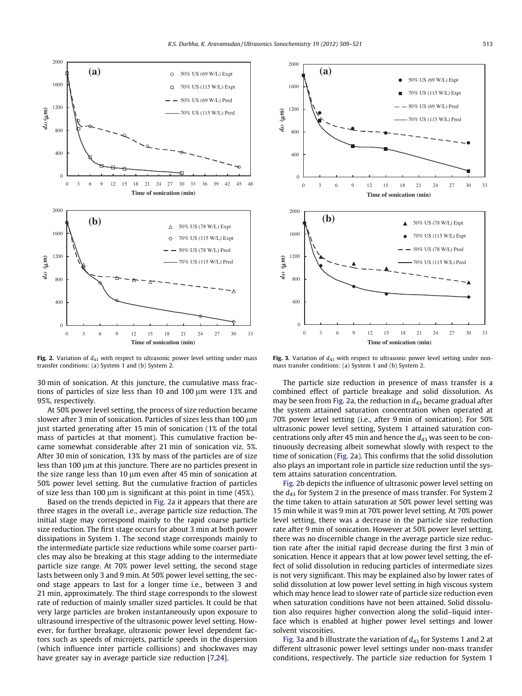

Fig. 2. Variation of  $d_{43}$  with respect to ultrasonic power level setting under mass transfer conditions: (a) System 1 and (b) System 2.

30 min of sonication. At this juncture, the cumulative mass fractions of particles of size less than 10 and 100  $\mu$ m were 13% and 95%, respectively.

At 50% power level setting, the process of size reduction became slower after 3 min of sonication. Particles of sizes less than 100 µm just started generating after 15 min of sonication (1% of the total mass of particles at that moment). This cumulative fraction became somewhat considerable after 21 min of sonication viz. 5%. After 30 min of sonication, 13% by mass of the particles are of size less than 100  $\mu$ m at this juncture. There are no particles present in the size range less than 10  $\mu$ m even after 45 min of sonication at 50% power level setting. But the cumulative fraction of particles of size less than 100  $\mu$ m is significant at this point in time (45%).

Based on the trends depicted in Fig. 2a it appears that there are three stages in the overall i.e., average particle size reduction. The initial stage may correspond mainly to the rapid coarse particle size reduction. The first stage occurs for about 3 min at both power dissipations in System 1. The second stage corresponds mainly to the intermediate particle size reductions while some coarser particles may also be breaking at this stage adding to the intermediate particle size range. At 70% power level setting, the second stage lasts between only 3 and 9 min. At 50% power level setting, the second stage appears to last for a longer time i.e., between 3 and 21 min, approximately. The third stage corresponds to the slowest rate of reduction of mainly smaller sized particles. It could be that very large particles are broken instantaneously upon exposure to ultrasound irrespective of the ultrasonic power level setting. However, for further breakage, ultrasonic power level dependent factors such as speeds of microjets, particle speeds in the dispersion (which influence inter particle collisions) and shockwaves may have greater say in average particle size reduction [7,24].



Fig. 3. Variation of  $d_{43}$  with respect to ultrasonic power level setting under nonmass transfer conditions: (a) System 1 and (b) System 2.

The particle size reduction in presence of mass transfer is a combined effect of particle breakage and solid dissolution. As may be seen from Fig. 2a, the reduction in  $d_{43}$  became gradual after the system attained saturation concentration when operated at 70% power level setting (i.e., after 9 min of sonication). For 50% ultrasonic power level setting, System 1 attained saturation concentrations only after 45 min and hence the  $d_{43}$  was seen to be continuously decreasing albeit somewhat slowly with respect to the time of sonication (Fig. 2a). This confirms that the solid dissolution also plays an important role in particle size reduction until the system attains saturation concentration.

Fig. 2b depicts the influence of ultrasonic power level setting on the  $d_{43}$  for System 2 in the presence of mass transfer. For System 2 the time taken to attain saturation at 50% power level setting was 15 min while it was 9 min at 70% power level setting. At 70% power level setting, there was a decrease in the particle size reduction rate after 9 min of sonication. However at 50% power level setting, there was no discernible change in the average particle size reduction rate after the initial rapid decrease during the first 3 min of sonication. Hence it appears that at low power level setting, the effect of solid dissolution in reducing particles of intermediate sizes is not very significant. This may be explained also by lower rates of solid dissolution at low power level setting in high viscous system which may hence lead to slower rate of particle size reduction even when saturation conditions have not been attained. Solid dissolution also requires higher convection along the solid–liquid interface which is enabled at higher power level settings and lower solvent viscosities.

Fig. 3a and b illustrate the variation of  $d_{43}$  for Systems 1 and 2 at different ultrasonic power level settings under non-mass transfer conditions, respectively. The particle size reduction for System 1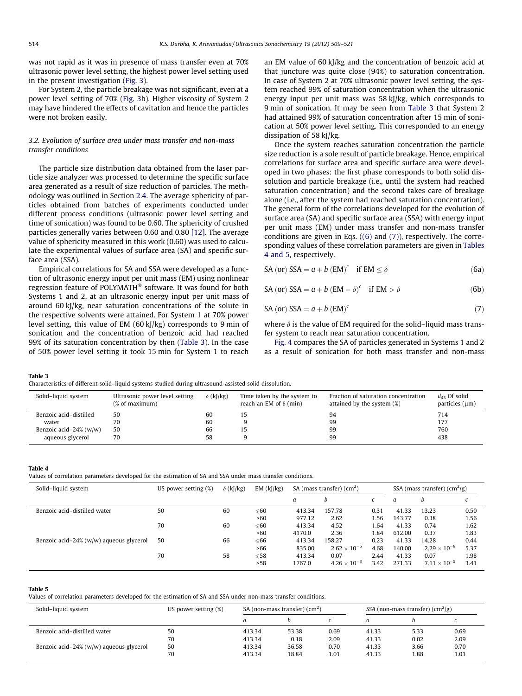was not rapid as it was in presence of mass transfer even at 70% ultrasonic power level setting, the highest power level setting used in the present investigation (Fig. 3).

For System 2, the particle breakage was not significant, even at a power level setting of 70% (Fig. 3b). Higher viscosity of System 2 may have hindered the effects of cavitation and hence the particles were not broken easily.

## 3.2. Evolution of surface area under mass transfer and non-mass transfer conditions

The particle size distribution data obtained from the laser particle size analyzer was processed to determine the specific surface area generated as a result of size reduction of particles. The methodology was outlined in Section 2.4. The average sphericity of particles obtained from batches of experiments conducted under different process conditions (ultrasonic power level setting and time of sonication) was found to be 0.60. The sphericity of crushed particles generally varies between 0.60 and 0.80 [12]. The average value of sphericity measured in this work (0.60) was used to calculate the experimental values of surface area (SA) and specific surface area (SSA).

Empirical correlations for SA and SSA were developed as a function of ultrasonic energy input per unit mass (EM) using nonlinear regression feature of POLYMATH® software. It was found for both Systems 1 and 2, at an ultrasonic energy input per unit mass of around 60 kJ/kg, near saturation concentrations of the solute in the respective solvents were attained. For System 1 at 70% power level setting, this value of EM (60 kJ/kg) corresponds to 9 min of sonication and the concentration of benzoic acid had reached 99% of its saturation concentration by then (Table 3). In the case of 50% power level setting it took 15 min for System 1 to reach an EM value of 60 kJ/kg and the concentration of benzoic acid at that juncture was quite close (94%) to saturation concentration. In case of System 2 at 70% ultrasonic power level setting, the system reached 99% of saturation concentration when the ultrasonic energy input per unit mass was 58 kJ/kg, which corresponds to 9 min of sonication. It may be seen from Table 3 that System 2 had attained 99% of saturation concentration after 15 min of sonication at 50% power level setting. This corresponded to an energy dissipation of 58 kJ/kg.

Once the system reaches saturation concentration the particle size reduction is a sole result of particle breakage. Hence, empirical correlations for surface area and specific surface area were developed in two phases: the first phase corresponds to both solid dissolution and particle breakage (i.e., until the system had reached saturation concentration) and the second takes care of breakage alone (i.e., after the system had reached saturation concentration). The general form of the correlations developed for the evolution of surface area (SA) and specific surface area (SSA) with energy input per unit mass (EM) under mass transfer and non-mass transfer conditions are given in Eqs. ((6) and (7)), respectively. The corresponding values of these correlation parameters are given in Tables 4 and 5, respectively.

SA (or) SSA =  $a + b$  (EM)<sup>c</sup> if EM  $\leq \delta$  (6a)

SA (or) SSA = 
$$
a + b
$$
 (EM –  $\delta$ )<sup>c</sup> if EM >  $\delta$  (6b)

$$
SA (or) SSA = a + b (EM)c
$$
 (7)

where  $\delta$  is the value of EM required for the solid–liquid mass transfer system to reach near saturation concentration.

Fig. 4 compares the SA of particles generated in Systems 1 and 2 as a result of sonication for both mass transfer and non-mass

#### Table 3

Characteristics of different solid–liquid systems studied during ultrasound-assisted solid dissolution.

| Solid-liquid system      | Ultrasonic power level setting<br>(% of maximum) | $\delta$ (kJ/kg) | Time taken by the system to<br>reach an EM of $\delta$ (min) | Fraction of saturation concentration<br>attained by the system (%) | $d_{43}$ Of solid<br>particles $(\mu m)$ |
|--------------------------|--------------------------------------------------|------------------|--------------------------------------------------------------|--------------------------------------------------------------------|------------------------------------------|
| Benzoic acid-distilled   | 50                                               | 60               |                                                              | 94                                                                 | 714                                      |
| water                    | 70                                               | 60               |                                                              | 99                                                                 | 177                                      |
| Benzoic acid-24% $(w/w)$ | 50                                               | 66               |                                                              | 99                                                                 | 760                                      |
| aqueous glycerol         | 70                                               | 58               |                                                              | 99                                                                 | 438                                      |

### Table 4

Values of correlation parameters developed for the estimation of SA and SSA under mass transfer conditions.

| Solid-liquid system                       | US power setting (%) | $\delta$ (kJ/kg) | EM (k]/kg)     |        | SA (mass transfer) $(cm2)$ |      |        | SSA (mass transfer) $(cm2/g)$ |      |
|-------------------------------------------|----------------------|------------------|----------------|--------|----------------------------|------|--------|-------------------------------|------|
|                                           |                      |                  |                | a      | h                          |      | a      |                               |      |
| Benzoic acid-distilled water              | 50                   | 60               | $\leqslant 60$ | 413.34 | 157.78                     | 0.31 | 41.33  | 13.23                         | 0.50 |
|                                           |                      |                  | >60            | 977.12 | 2.62                       | 1.56 | 143.77 | 0.38                          | 1.56 |
|                                           | 70                   | 60               | $\leqslant 60$ | 413.34 | 4.52                       | 1.64 | 41.33  | 0.74                          | 1.62 |
|                                           |                      |                  | >60            | 4170.0 | 2.36                       | 1.84 | 612.00 | 0.37                          | 1.83 |
| Benzoic acid-24% $(w/w)$ aqueous glycerol | 50                   | 66               | $\leqslant 66$ | 413.34 | 158.27                     | 0.23 | 41.33  | 14.28                         | 0.44 |
|                                           |                      |                  | >66            | 835.00 | $2.62 \times 10^{-6}$      | 4.68 | 140.00 | $2.29 \times 10^{-8}$         | 5.37 |
|                                           | 70                   | 58               | $\leqslant$ 58 | 413.34 | 0.07                       | 2.44 | 41.33  | 0.07                          | 1.98 |
|                                           |                      |                  | >58            | 1767.0 | $4.26 \times 10^{-3}$      | 3.42 | 271.33 | $7.11 \times 10^{-5}$         | 3.41 |

#### Table 5

Values of correlation parameters developed for the estimation of SA and SSA under non-mass transfer conditions.

| Solid-liquid system                       | US power setting $(\%)$ |        | SA (non-mass transfer) $\rm (cm^2)$ |      |       | SSA (non-mass transfer) $(cm^2/g)$ |      |
|-------------------------------------------|-------------------------|--------|-------------------------------------|------|-------|------------------------------------|------|
|                                           |                         | a      |                                     |      |       |                                    |      |
| Benzoic acid-distilled water              | 50                      | 413.34 | 53.38                               | 0.69 | 41.33 | 5.33                               | 0.69 |
|                                           | 70                      | 413.34 | 0.18                                | 2.09 | 41.33 | 0.02                               | 2.09 |
| Benzoic acid-24% $(w/w)$ aqueous glycerol | 50                      | 413.34 | 36.58                               | 0.70 | 41.33 | 3.66                               | 0.70 |
|                                           | 70                      | 413.34 | 18.84                               | 1.01 | 41.33 | 1.88                               | 1.01 |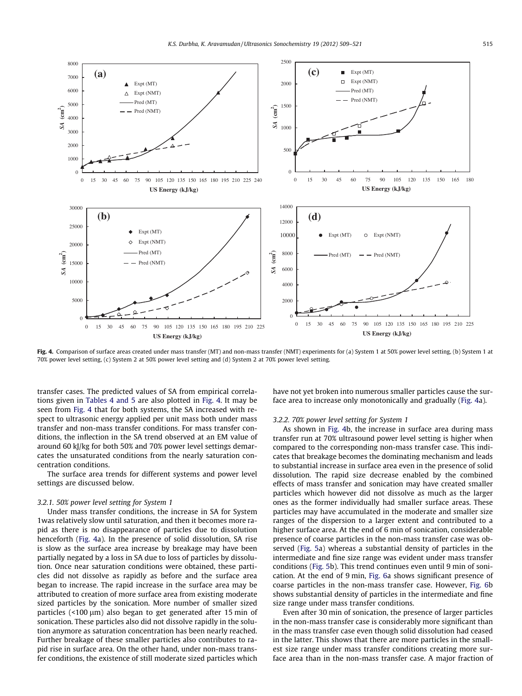

Fig. 4. Comparison of surface areas created under mass transfer (MT) and non-mass transfer (NMT) experiments for (a) System 1 at 50% power level setting, (b) System 1 at 70% power level setting, (c) System 2 at 50% power level setting and (d) System 2 at 70% power level setting.

transfer cases. The predicted values of SA from empirical correlations given in Tables 4 and 5 are also plotted in Fig. 4. It may be seen from Fig. 4 that for both systems, the SA increased with respect to ultrasonic energy applied per unit mass both under mass transfer and non-mass transfer conditions. For mass transfer conditions, the inflection in the SA trend observed at an EM value of around 60 kJ/kg for both 50% and 70% power level settings demarcates the unsaturated conditions from the nearly saturation concentration conditions.

The surface area trends for different systems and power level settings are discussed below.

## 3.2.1. 50% power level setting for System 1

Under mass transfer conditions, the increase in SA for System 1was relatively slow until saturation, and then it becomes more rapid as there is no disappearance of particles due to dissolution henceforth (Fig. 4a). In the presence of solid dissolution, SA rise is slow as the surface area increase by breakage may have been partially negated by a loss in SA due to loss of particles by dissolution. Once near saturation conditions were obtained, these particles did not dissolve as rapidly as before and the surface area began to increase. The rapid increase in the surface area may be attributed to creation of more surface area from existing moderate sized particles by the sonication. More number of smaller sized particles ( $<$ 100  $\mu$ m) also began to get generated after 15 min of sonication. These particles also did not dissolve rapidly in the solution anymore as saturation concentration has been nearly reached. Further breakage of these smaller particles also contributes to rapid rise in surface area. On the other hand, under non-mass transfer conditions, the existence of still moderate sized particles which have not yet broken into numerous smaller particles cause the surface area to increase only monotonically and gradually (Fig. 4a).

## 3.2.2. 70% power level setting for System 1

As shown in Fig. 4b, the increase in surface area during mass transfer run at 70% ultrasound power level setting is higher when compared to the corresponding non-mass transfer case. This indicates that breakage becomes the dominating mechanism and leads to substantial increase in surface area even in the presence of solid dissolution. The rapid size decrease enabled by the combined effects of mass transfer and sonication may have created smaller particles which however did not dissolve as much as the larger ones as the former individually had smaller surface areas. These particles may have accumulated in the moderate and smaller size ranges of the dispersion to a larger extent and contributed to a higher surface area. At the end of 6 min of sonication, considerable presence of coarse particles in the non-mass transfer case was observed (Fig. 5a) whereas a substantial density of particles in the intermediate and fine size range was evident under mass transfer conditions (Fig. 5b). This trend continues even until 9 min of sonication. At the end of 9 min, Fig. 6a shows significant presence of coarse particles in the non-mass transfer case. However, Fig. 6b shows substantial density of particles in the intermediate and fine size range under mass transfer conditions.

Even after 30 min of sonication, the presence of larger particles in the non-mass transfer case is considerably more significant than in the mass transfer case even though solid dissolution had ceased in the latter. This shows that there are more particles in the smallest size range under mass transfer conditions creating more surface area than in the non-mass transfer case. A major fraction of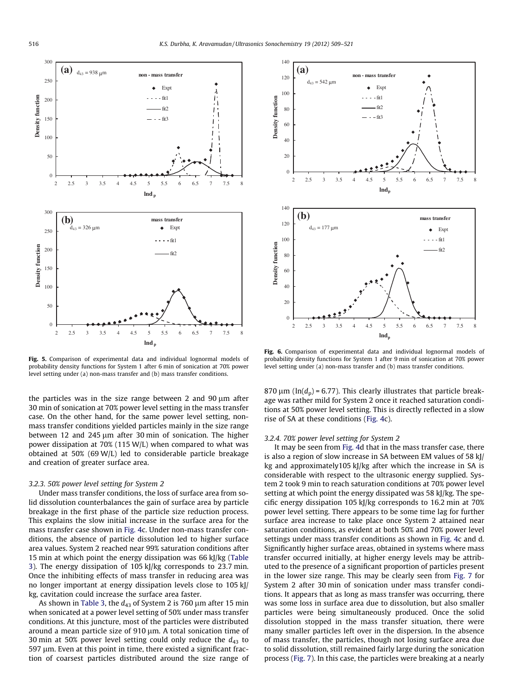

Fig. 5. Comparison of experimental data and individual lognormal models of probability density functions for System 1 after 6 min of sonication at 70% power level setting under (a) non-mass transfer and (b) mass transfer conditions.

the particles was in the size range between 2 and 90  $\mu$ m after 30 min of sonication at 70% power level setting in the mass transfer case. On the other hand, for the same power level setting, nonmass transfer conditions yielded particles mainly in the size range between 12 and 245  $\mu$ m after 30 min of sonication. The higher power dissipation at 70% (115 W/L) when compared to what was obtained at 50% (69 W/L) led to considerable particle breakage and creation of greater surface area.

## 3.2.3. 50% power level setting for System 2

Under mass transfer conditions, the loss of surface area from solid dissolution counterbalances the gain of surface area by particle breakage in the first phase of the particle size reduction process. This explains the slow initial increase in the surface area for the mass transfer case shown in Fig. 4c. Under non-mass transfer conditions, the absence of particle dissolution led to higher surface area values. System 2 reached near 99% saturation conditions after 15 min at which point the energy dissipation was 66 kJ/kg (Table 3). The energy dissipation of 105 kJ/kg corresponds to 23.7 min. Once the inhibiting effects of mass transfer in reducing area was no longer important at energy dissipation levels close to 105 kJ/ kg, cavitation could increase the surface area faster.

As shown in Table 3, the  $d_{43}$  of System 2 is 760  $\mu$ m after 15 min when sonicated at a power level setting of 50% under mass transfer conditions. At this juncture, most of the particles were distributed around a mean particle size of 910 µm. A total sonication time of 30 min at 50% power level setting could only reduce the  $d_{43}$  to  $597 \mu m$ . Even at this point in time, there existed a significant fraction of coarsest particles distributed around the size range of



Fig. 6. Comparison of experimental data and individual lognormal models of probability density functions for System 1 after 9 min of sonication at 70% power level setting under (a) non-mass transfer and (b) mass transfer conditions.

870  $\mu$ m (ln( $d_{\rm p}$ ) = 6.77). This clearly illustrates that particle breakage was rather mild for System 2 once it reached saturation conditions at 50% power level setting. This is directly reflected in a slow rise of SA at these conditions (Fig. 4c).

## 3.2.4. 70% power level setting for System 2

It may be seen from Fig. 4d that in the mass transfer case, there is also a region of slow increase in SA between EM values of 58 kJ/ kg and approximately105 kJ/kg after which the increase in SA is considerable with respect to the ultrasonic energy supplied. System 2 took 9 min to reach saturation conditions at 70% power level setting at which point the energy dissipated was 58 kJ/kg. The specific energy dissipation 105 kJ/kg corresponds to 16.2 min at 70% power level setting. There appears to be some time lag for further surface area increase to take place once System 2 attained near saturation conditions, as evident at both 50% and 70% power level settings under mass transfer conditions as shown in Fig. 4c and d. Significantly higher surface areas, obtained in systems where mass transfer occurred initially, at higher energy levels may be attributed to the presence of a significant proportion of particles present in the lower size range. This may be clearly seen from Fig. 7 for System 2 after 30 min of sonication under mass transfer conditions. It appears that as long as mass transfer was occurring, there was some loss in surface area due to dissolution, but also smaller particles were being simultaneously produced. Once the solid dissolution stopped in the mass transfer situation, there were many smaller particles left over in the dispersion. In the absence of mass transfer, the particles, though not losing surface area due to solid dissolution, still remained fairly large during the sonication process (Fig. 7). In this case, the particles were breaking at a nearly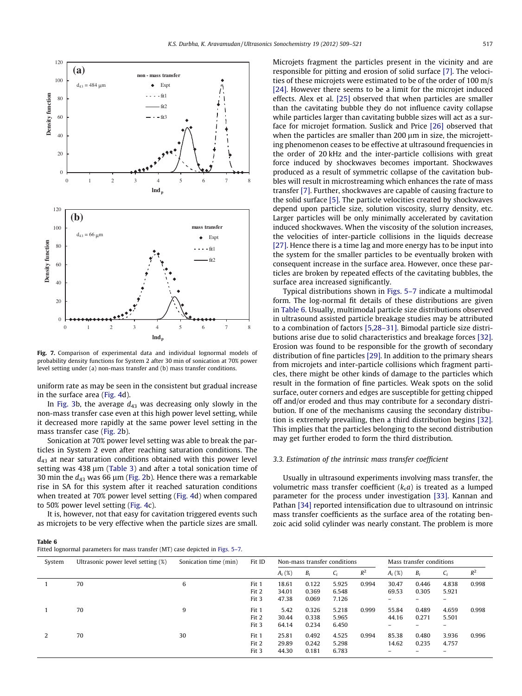

Fig. 7. Comparison of experimental data and individual lognormal models of probability density functions for System 2 after 30 min of sonication at 70% power level setting under (a) non-mass transfer and (b) mass transfer conditions.

uniform rate as may be seen in the consistent but gradual increase in the surface area (Fig. 4d).

In Fig. 3b, the average  $d_{43}$  was decreasing only slowly in the non-mass transfer case even at this high power level setting, while it decreased more rapidly at the same power level setting in the mass transfer case (Fig. 2b).

Sonication at 70% power level setting was able to break the particles in System 2 even after reaching saturation conditions. The  $d_{43}$  at near saturation conditions obtained with this power level setting was  $438 \mu m$  (Table 3) and after a total sonication time of 30 min the  $d_{43}$  was 66 µm (Fig. 2b). Hence there was a remarkable rise in SA for this system after it reached saturation conditions when treated at 70% power level setting (Fig. 4d) when compared to 50% power level setting (Fig. 4c).

It is, however, not that easy for cavitation triggered events such as microjets to be very effective when the particle sizes are small.

| Table 6                                                                        |  |
|--------------------------------------------------------------------------------|--|
| Fitted lognormal parameters for mass transfer (MT) case depicted in Figs. 5–7. |  |

Microjets fragment the particles present in the vicinity and are responsible for pitting and erosion of solid surface [7]. The velocities of these microjets were estimated to be of the order of 100 m/s [24]. However there seems to be a limit for the microjet induced effects. Alex et al. [25] observed that when particles are smaller than the cavitating bubble they do not influence cavity collapse while particles larger than cavitating bubble sizes will act as a surface for microjet formation. Suslick and Price [26] observed that when the particles are smaller than  $200 \mu m$  in size, the microjetting phenomenon ceases to be effective at ultrasound frequencies in the order of 20 kHz and the inter-particle collisions with great force induced by shockwaves becomes important. Shockwaves produced as a result of symmetric collapse of the cavitation bubbles will result in microstreaming which enhances the rate of mass transfer [7]. Further, shockwaves are capable of causing fracture to the solid surface [5]. The particle velocities created by shockwaves depend upon particle size, solution viscosity, slurry density, etc. Larger particles will be only minimally accelerated by cavitation induced shockwaves. When the viscosity of the solution increases, the velocities of inter-particle collisions in the liquids decrease [27]. Hence there is a time lag and more energy has to be input into the system for the smaller particles to be eventually broken with consequent increase in the surface area. However, once these particles are broken by repeated effects of the cavitating bubbles, the surface area increased significantly.

Typical distributions shown in Figs. 5–7 indicate a multimodal form. The log-normal fit details of these distributions are given in Table 6. Usually, multimodal particle size distributions observed in ultrasound assisted particle breakage studies may be attributed to a combination of factors [5,28–31]. Bimodal particle size distributions arise due to solid characteristics and breakage forces [32]. Erosion was found to be responsible for the growth of secondary distribution of fine particles [29]. In addition to the primary shears from microjets and inter-particle collisions which fragment particles, there might be other kinds of damage to the particles which result in the formation of fine particles. Weak spots on the solid surface, outer corners and edges are susceptible for getting chipped off and/or eroded and thus may contribute for a secondary distribution. If one of the mechanisms causing the secondary distribution is extremely prevailing, then a third distribution begins [32]. This implies that the particles belonging to the second distribution may get further eroded to form the third distribution.

## 3.3. Estimation of the intrinsic mass transfer coefficient

Usually in ultrasound experiments involving mass transfer, the volumetric mass transfer coefficient  $(k<sub>c</sub>a)$  is treated as a lumped parameter for the process under investigation [33]. Kannan and Pathan [34] reported intensification due to ultrasound on intrinsic mass transfer coefficients as the surface area of the rotating benzoic acid solid cylinder was nearly constant. The problem is more

| System | Ultrasonic power level setting (%) | Fit ID<br>Sonication time (min)<br>Mass transfer conditions<br>Non-mass transfer conditions |       |           |       |                |       |           |                          |                |       |
|--------|------------------------------------|---------------------------------------------------------------------------------------------|-------|-----------|-------|----------------|-------|-----------|--------------------------|----------------|-------|
|        |                                    |                                                                                             |       | $A_i$ (%) | $B_i$ | $\mathsf{C}_i$ | $R^2$ | $A_i$ (%) | $B_i$                    | $\mathsf{C}_i$ | $R^2$ |
|        | 70                                 | 6                                                                                           | Fit 1 | 18.61     | 0.122 | 5.925          | 0.994 | 30.47     | 0.446                    | 4.838          | 0.998 |
|        |                                    |                                                                                             | Fit 2 | 34.01     | 0.369 | 6.548          |       | 69.53     | 0.305                    | 5.921          |       |
|        |                                    |                                                                                             | Fit 3 | 47.38     | 0.069 | 7.126          |       | -         | $\overline{\phantom{0}}$ | $-$            |       |
|        | 70                                 | 9                                                                                           | Fit 1 | 5.42      | 0.326 | 5.218          | 0.999 | 55.84     | 0.489                    | 4.659          | 0.998 |
|        |                                    |                                                                                             | Fit 2 | 30.44     | 0.338 | 5.965          |       | 44.16     | 0.271                    | 5.501          |       |
|        |                                    |                                                                                             | Fit 3 | 64.14     | 0.234 | 6.450          |       |           | -                        | -              |       |
|        | 70                                 | 30                                                                                          | Fit 1 | 25.81     | 0.492 | 4.525          | 0.994 | 85.38     | 0.480                    | 3.936          | 0.996 |
|        |                                    |                                                                                             | Fit 2 | 29.89     | 0.242 | 5.298          |       | 14.62     | 0.235                    | 4.757          |       |
|        |                                    |                                                                                             | Fit 3 | 44.30     | 0.181 | 6.783          |       | -         |                          | -              |       |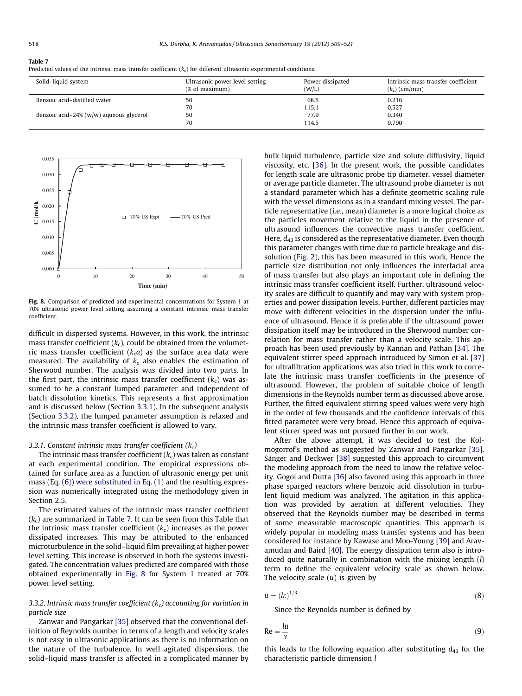| Table 7                                                                                                              |  |
|----------------------------------------------------------------------------------------------------------------------|--|
| Predicted values of the intrinsic mass transfer coefficient $(kc)$ for different ultrasonic experimental conditions. |  |

| Solid-liquid system                       | Ultrasonic power level setting<br>(% of maximum) | Power dissipated<br>(W/L) | Intrinsic mass transfer coefficient<br>$(k_c)$ (cm/min) |
|-------------------------------------------|--------------------------------------------------|---------------------------|---------------------------------------------------------|
| Benzoic acid-distilled water              | 50                                               | 68.5                      | 0.216                                                   |
|                                           | 70                                               | 115.1                     | 0.527                                                   |
| Benzoic acid-24% $(w/w)$ aqueous glycerol | 50                                               | 77.9                      | 0.340                                                   |
|                                           | 70                                               | 114.5                     | 0.790                                                   |



Fig. 8. Comparison of predicted and experimental concentrations for System 1 at 70% ultrasonic power level setting assuming a constant intrinsic mass transfer coefficient.

difficult in dispersed systems. However, in this work, the intrinsic mass transfer coefficient  $(k_c)$ , could be obtained from the volumetric mass transfer coefficient  $(k_c a)$  as the surface area data were measured. The availability of  $k<sub>c</sub>$  also enables the estimation of Sherwood number. The analysis was divided into two parts. In the first part, the intrinsic mass transfer coefficient  $(k_c)$  was assumed to be a constant lumped parameter and independent of batch dissolution kinetics. This represents a first approximation and is discussed below (Section 3.3.1). In the subsequent analysis (Section 3.3.2), the lumped parameter assumption is relaxed and the intrinsic mass transfer coefficient is allowed to vary.

## 3.3.1. Constant intrinsic mass transfer coefficient  $(k_c)$

The intrinsic mass transfer coefficient  $(k_c)$  was taken as constant at each experimental condition. The empirical expressions obtained for surface area as a function of ultrasonic energy per unit mass (Eq. (6)) were substituted in Eq. (1) and the resulting expression was numerically integrated using the methodology given in Section 2.5.

The estimated values of the intrinsic mass transfer coefficient  $(k<sub>c</sub>)$  are summarized in Table 7. It can be seen from this Table that the intrinsic mass transfer coefficient  $(k<sub>c</sub>)$  increases as the power dissipated increases. This may be attributed to the enhanced microturbulence in the solid–liquid film prevailing at higher power level setting. This increase is observed in both the systems investigated. The concentration values predicted are compared with those obtained experimentally in Fig. 8 for System 1 treated at 70% power level setting.

## 3.3.2. Intrinsic mass transfer coefficient  $(k_c)$  accounting for variation in particle size

Zanwar and Pangarkar [35] observed that the conventional definition of Reynolds number in terms of a length and velocity scales is not easy in ultrasonic applications as there is no information on the nature of the turbulence. In well agitated dispersions, the solid–liquid mass transfer is affected in a complicated manner by bulk liquid turbulence, particle size and solute diffusivity, liquid viscosity, etc. [36]. In the present work, the possible candidates for length scale are ultrasonic probe tip diameter, vessel diameter or average particle diameter. The ultrasound probe diameter is not a standard parameter which has a definite geometric scaling rule with the vessel dimensions as in a standard mixing vessel. The particle representative (i.e., mean) diameter is a more logical choice as the particles movement relative to the liquid in the presence of ultrasound influences the convective mass transfer coefficient. Here,  $d_{43}$  is considered as the representative diameter. Even though this parameter changes with time due to particle breakage and dissolution (Fig. 2), this has been measured in this work. Hence the particle size distribution not only influences the interfacial area of mass transfer but also plays an important role in defining the intrinsic mass transfer coefficient itself. Further, ultrasound velocity scales are difficult to quantify and may vary with system properties and power dissipation levels. Further, different particles may move with different velocities in the dispersion under the influence of ultrasound. Hence it is preferable if the ultrasound power dissipation itself may be introduced in the Sherwood number correlation for mass transfer rather than a velocity scale. This approach has been used previously by Kannan and Pathan [34]. The equivalent stirrer speed approach introduced by Simon et al. [37] for ultrafiltration applications was also tried in this work to correlate the intrinsic mass transfer coefficients in the presence of ultrasound. However, the problem of suitable choice of length dimensions in the Reynolds number term as discussed above arose. Further, the fitted equivalent stirring speed values were very high in the order of few thousands and the confidence intervals of this fitted parameter were very broad. Hence this approach of equivalent stirrer speed was not pursued further in our work.

After the above attempt, it was decided to test the Kolmogorrof's method as suggested by Zanwar and Pangarkar [35]. Sänger and Deckwer [38] suggested this approach to circumvent the modeling approach from the need to know the relative velocity. Gogoi and Dutta [36] also favored using this approach in three phase sparged reactors where benzoic acid dissolution in turbulent liquid medium was analyzed. The agitation in this application was provided by aeration at different velocities. They observed that the Reynolds number may be described in terms of some measurable macroscopic quantities. This approach is widely popular in modeling mass transfer systems and has been considered for instance by Kawase and Moo-Young [39] and Aravamudan and Baird [40]. The energy dissipation term also is introduced quite naturally in combination with the mixing length (l) term to define the equivalent velocity scale as shown below. The velocity scale  $(u)$  is given by

$$
u = (l\varepsilon)^{1/3} \tag{8}
$$

Since the Reynolds number is defined by

$$
\text{Re} = \frac{l u}{v} \tag{9}
$$

this leads to the following equation after substituting  $d_{43}$  for the characteristic particle dimension l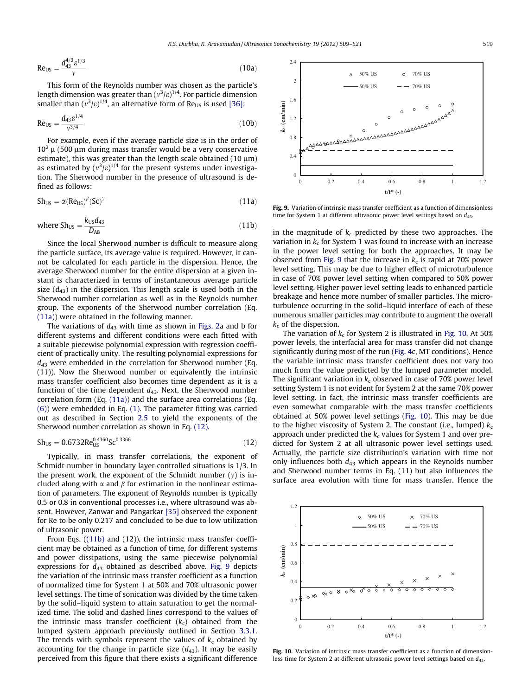$$
Re_{US} = \frac{d_{43}^{4/3} \varepsilon^{1/3}}{v} \tag{10a}
$$

This form of the Reynolds number was chosen as the particle's length dimension was greater than (  $\text{v}^3/\varepsilon)^{1/4}.$  For particle dimension smaller than  $(v^3/\varepsilon)^{1/4}$ , an alternative form of Re<sub>US</sub> is used [36]:

$$
Re_{US} = \frac{d_{43} \varepsilon^{1/4}}{v^{3/4}}
$$
 (10b)

For example, even if the average particle size is in the order of  $10<sup>2</sup>$  µ (500 µm during mass transfer would be a very conservative estimate), this was greater than the length scale obtained (10  $\mu$ m) as estimated by  $(v^3/\varepsilon)^{1/4}$  for the present systems under investigation. The Sherwood number in the presence of ultrasound is defined as follows:

$$
Sh_{US} = \alpha (Re_{US})^{\beta} (Sc)^{\gamma}
$$
 (11a)

where 
$$
Sh_{US} = \frac{k_{US}d_{43}}{D_{AB}}
$$
 (11b)

Since the local Sherwood number is difficult to measure along the particle surface, its average value is required. However, it cannot be calculated for each particle in the dispersion. Hence, the average Sherwood number for the entire dispersion at a given instant is characterized in terms of instantaneous average particle size  $(d_{43})$  in the dispersion. This length scale is used both in the Sherwood number correlation as well as in the Reynolds number group. The exponents of the Sherwood number correlation (Eq. (11a)) were obtained in the following manner.

The variations of  $d_{43}$  with time as shown in Figs. 2a and b for different systems and different conditions were each fitted with a suitable piecewise polynomial expression with regression coefficient of practically unity. The resulting polynomial expressions for  $d_{43}$  were embedded in the correlation for Sherwood number (Eq. (11)). Now the Sherwood number or equivalently the intrinsic mass transfer coefficient also becomes time dependent as it is a function of the time dependent  $d_{43}$ . Next, the Sherwood number correlation form (Eq. (11a)) and the surface area correlations (Eq. (6)) were embedded in Eq. (1). The parameter fitting was carried out as described in Section 2.5 to yield the exponents of the Sherwood number correlation as shown in Eq. (12).

$$
Sh_{US} = 0.6732 Re_{US}^{0.4360} Sc^{0.3366}
$$
 (12)

Typically, in mass transfer correlations, the exponent of Schmidt number in boundary layer controlled situations is 1/3. In the present work, the exponent of the Schmidt number  $(\gamma)$  is included along with  $\alpha$  and  $\beta$  for estimation in the nonlinear estimation of parameters. The exponent of Reynolds number is typically 0.5 or 0.8 in conventional processes i.e., where ultrasound was absent. However, Zanwar and Pangarkar [35] observed the exponent for Re to be only 0.217 and concluded to be due to low utilization of ultrasonic power.

From Eqs. ((11b) and (12)), the intrinsic mass transfer coefficient may be obtained as a function of time, for different systems and power dissipations, using the same piecewise polynomial expressions for  $d_{43}$  obtained as described above. Fig. 9 depicts the variation of the intrinsic mass transfer coefficient as a function of normalized time for System 1 at 50% and 70% ultrasonic power level settings. The time of sonication was divided by the time taken by the solid–liquid system to attain saturation to get the normalized time. The solid and dashed lines correspond to the values of the intrinsic mass transfer coefficient  $(k<sub>c</sub>)$  obtained from the lumped system approach previously outlined in Section 3.3.1. The trends with symbols represent the values of  $k_c$  obtained by accounting for the change in particle size  $(d_{43})$ . It may be easily perceived from this figure that there exists a significant difference



Fig. 9. Variation of intrinsic mass transfer coefficient as a function of dimensionless time for System 1 at different ultrasonic power level settings based on  $d_{43}$ .

in the magnitude of  $k<sub>c</sub>$  predicted by these two approaches. The variation in  $k_\mathrm{c}$  for System 1 was found to increase with an increase in the power level setting for both the approaches. It may be observed from Fig. 9 that the increase in  $k_c$  is rapid at 70% power level setting. This may be due to higher effect of microturbulence in case of 70% power level setting when compared to 50% power level setting. Higher power level setting leads to enhanced particle breakage and hence more number of smaller particles. The microturbulence occurring in the solid–liquid interface of each of these numerous smaller particles may contribute to augment the overall  $k_c$  of the dispersion.

The variation of  $k_\mathrm{c}$  for System 2 is illustrated in Fig. 10. At 50% power levels, the interfacial area for mass transfer did not change significantly during most of the run (Fig. 4c, MT conditions). Hence the variable intrinsic mass transfer coefficient does not vary too much from the value predicted by the lumped parameter model. The significant variation in  $k_c$  observed in case of 70% power level setting System 1 is not evident for System 2 at the same 70% power level setting. In fact, the intrinsic mass transfer coefficients are even somewhat comparable with the mass transfer coefficients obtained at 50% power level settings (Fig. 10). This may be due to the higher viscosity of System 2. The constant (i.e., lumped)  $k_c$ approach under predicted the  $k_c$  values for System 1 and over predicted for System 2 at all ultrasonic power level settings used. Actually, the particle size distribution's variation with time not only influences both  $d_{43}$  which appears in the Reynolds number and Sherwood number terms in Eq. (11) but also influences the surface area evolution with time for mass transfer. Hence the



Fig. 10. Variation of intrinsic mass transfer coefficient as a function of dimensionless time for System 2 at different ultrasonic power level settings based on  $d_{43}$ .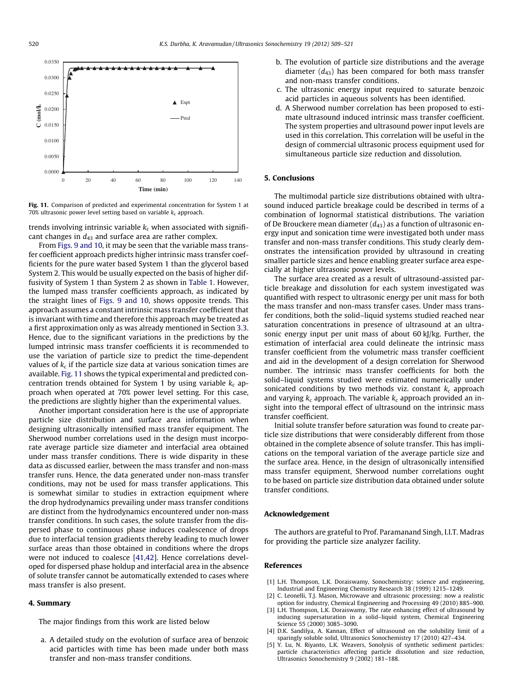

Fig. 11. Comparison of predicted and experimental concentration for System 1 at 70% ultrasonic power level setting based on variable  $k_c$  approach.

trends involving intrinsic variable  $k<sub>c</sub>$  when associated with significant changes in  $d_{43}$  and surface area are rather complex.

From Figs. 9 and 10, it may be seen that the variable mass transfer coefficient approach predicts higher intrinsic mass transfer coefficients for the pure water based System 1 than the glycerol based System 2. This would be usually expected on the basis of higher diffusivity of System 1 than System 2 as shown in Table 1. However, the lumped mass transfer coefficients approach, as indicated by the straight lines of Figs. 9 and 10, shows opposite trends. This approach assumes a constant intrinsic mass transfer coefficient that is invariant with time and therefore this approach may be treated as a first approximation only as was already mentioned in Section 3.3. Hence, due to the significant variations in the predictions by the lumped intrinsic mass transfer coefficients it is recommended to use the variation of particle size to predict the time-dependent values of  $k_\mathsf{c}$  if the particle size data at various sonication times are available. Fig. 11 shows the typical experimental and predicted concentration trends obtained for System 1 by using variable  $k_c$  approach when operated at 70% power level setting. For this case, the predictions are slightly higher than the experimental values.

Another important consideration here is the use of appropriate particle size distribution and surface area information when designing ultrasonically intensified mass transfer equipment. The Sherwood number correlations used in the design must incorporate average particle size diameter and interfacial area obtained under mass transfer conditions. There is wide disparity in these data as discussed earlier, between the mass transfer and non-mass transfer runs. Hence, the data generated under non-mass transfer conditions, may not be used for mass transfer applications. This is somewhat similar to studies in extraction equipment where the drop hydrodynamics prevailing under mass transfer conditions are distinct from the hydrodynamics encountered under non-mass transfer conditions. In such cases, the solute transfer from the dispersed phase to continuous phase induces coalescence of drops due to interfacial tension gradients thereby leading to much lower surface areas than those obtained in conditions where the drops were not induced to coalesce [41,42]. Hence correlations developed for dispersed phase holdup and interfacial area in the absence of solute transfer cannot be automatically extended to cases where mass transfer is also present.

## 4. Summary

The major findings from this work are listed below

a. A detailed study on the evolution of surface area of benzoic acid particles with time has been made under both mass transfer and non-mass transfer conditions.

- b. The evolution of particle size distributions and the average diameter  $(d_{43})$  has been compared for both mass transfer and non-mass transfer conditions.
- c. The ultrasonic energy input required to saturate benzoic acid particles in aqueous solvents has been identified.
- d. A Sherwood number correlation has been proposed to estimate ultrasound induced intrinsic mass transfer coefficient. The system properties and ultrasound power input levels are used in this correlation. This correlation will be useful in the design of commercial ultrasonic process equipment used for simultaneous particle size reduction and dissolution.

## 5. Conclusions

The multimodal particle size distributions obtained with ultrasound induced particle breakage could be described in terms of a combination of lognormal statistical distributions. The variation of De Brouckere mean diameter  $(d_{43})$  as a function of ultrasonic energy input and sonication time were investigated both under mass transfer and non-mass transfer conditions. This study clearly demonstrates the intensification provided by ultrasound in creating smaller particle sizes and hence enabling greater surface area especially at higher ultrasonic power levels.

The surface area created as a result of ultrasound-assisted particle breakage and dissolution for each system investigated was quantified with respect to ultrasonic energy per unit mass for both the mass transfer and non-mass transfer cases. Under mass transfer conditions, both the solid–liquid systems studied reached near saturation concentrations in presence of ultrasound at an ultrasonic energy input per unit mass of about 60 kJ/kg. Further, the estimation of interfacial area could delineate the intrinsic mass transfer coefficient from the volumetric mass transfer coefficient and aid in the development of a design correlation for Sherwood number. The intrinsic mass transfer coefficients for both the solid–liquid systems studied were estimated numerically under sonicated conditions by two methods viz. constant  $k_c$  approach and varying  $k_c$  approach. The variable  $k_c$  approach provided an insight into the temporal effect of ultrasound on the intrinsic mass transfer coefficient.

Initial solute transfer before saturation was found to create particle size distributions that were considerably different from those obtained in the complete absence of solute transfer. This has implications on the temporal variation of the average particle size and the surface area. Hence, in the design of ultrasonically intensified mass transfer equipment, Sherwood number correlations ought to be based on particle size distribution data obtained under solute transfer conditions.

## Acknowledgement

The authors are grateful to Prof. Paramanand Singh, I.I.T. Madras for providing the particle size analyzer facility.

## References

- [1] L.H. Thompson, L.K. Doraiswamy, Sonochemistry: science and engineering, Industrial and Engineering Chemistry Research 38 (1999) 1215–1249.
- C. Leonelli, T.J. Mason, Microwave and ultrasonic processing: now a realistic option for industry, Chemical Engineering and Processing 49 (2010) 885–900.
- L.H. Thompson, L.K. Doraiswamy, The rate enhancing effect of ultrasound by inducing supersaturation in a solid–liquid system, Chemical Engineering Science 55 (2000) 3085–3090.
- [4] D.K. Sandilya, A. Kannan, Effect of ultrasound on the solubility limit of a sparingly soluble solid, Ultrasonics Sonochemistry 17 (2010) 427–434.
- [5] Y. Lu, N. Riyanto, L.K. Weavers, Sonolysis of synthetic sediment particles: particle characteristics affecting particle dissolution and size reduction, Ultrasonics Sonochemistry 9 (2002) 181–188.